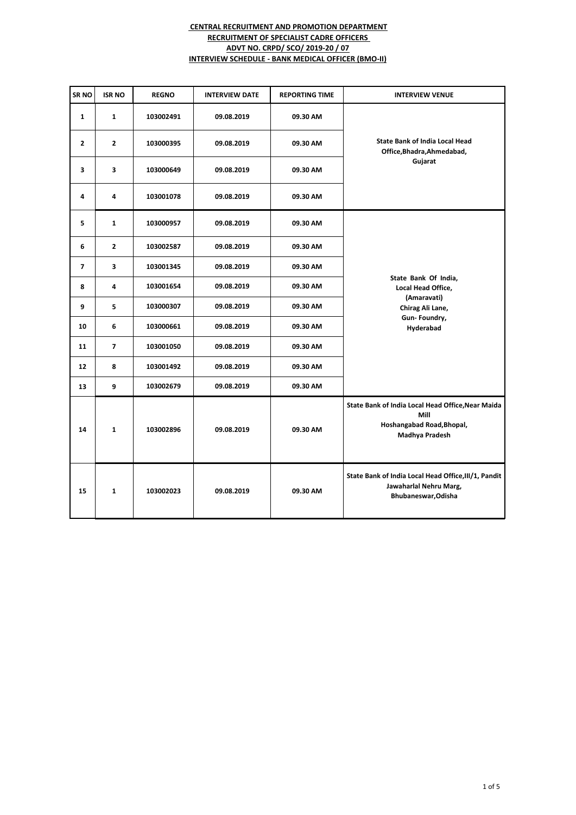| SR <sub>NO</sub> | <b>ISR NO</b>  | <b>REGNO</b> | <b>INTERVIEW DATE</b> | <b>REPORTING TIME</b> | <b>INTERVIEW VENUE</b>                                                                                   |
|------------------|----------------|--------------|-----------------------|-----------------------|----------------------------------------------------------------------------------------------------------|
| $\mathbf{1}$     | $\mathbf{1}$   | 103002491    | 09.08.2019            | 09.30 AM              | <b>State Bank of India Local Head</b><br>Office, Bhadra, Ahmedabad,                                      |
| $\mathbf{2}$     | $\mathbf{2}$   | 103000395    | 09.08.2019            | 09.30 AM              |                                                                                                          |
| 3                | 3              | 103000649    | 09.08.2019            | 09.30 AM              | Gujarat                                                                                                  |
| 4                | 4              | 103001078    | 09.08.2019            | 09.30 AM              |                                                                                                          |
| 5                | $\mathbf{1}$   | 103000957    | 09.08.2019            | 09.30 AM              |                                                                                                          |
| 6                | $\overline{2}$ | 103002587    | 09.08.2019            | 09.30 AM              |                                                                                                          |
| $\overline{ }$   | 3              | 103001345    | 09.08.2019            | 09.30 AM              |                                                                                                          |
| 8                | 4              | 103001654    | 09.08.2019            | 09.30 AM              | State Bank Of India,<br>Local Head Office,<br>(Amaravati)<br>Chirag Ali Lane,                            |
| 9                | 5              | 103000307    | 09.08.2019            | 09.30 AM              |                                                                                                          |
| 10               | 6              | 103000661    | 09.08.2019            | 09.30 AM              | Gun-Foundry,<br>Hyderabad                                                                                |
| 11               | $\overline{ }$ | 103001050    | 09.08.2019            | 09.30 AM              |                                                                                                          |
| 12               | 8              | 103001492    | 09.08.2019            | 09.30 AM              |                                                                                                          |
| 13               | 9              | 103002679    | 09.08.2019            | 09.30 AM              |                                                                                                          |
| 14               | $\mathbf{1}$   | 103002896    | 09.08.2019            | 09.30 AM              | State Bank of India Local Head Office, Near Maida<br>Mill<br>Hoshangabad Road, Bhopal,<br>Madhya Pradesh |
| 15               | $\mathbf{1}$   | 103002023    | 09.08.2019            | 09.30 AM              | State Bank of India Local Head Office, III/1, Pandit<br>Jawaharlal Nehru Marg,<br>Bhubaneswar, Odisha    |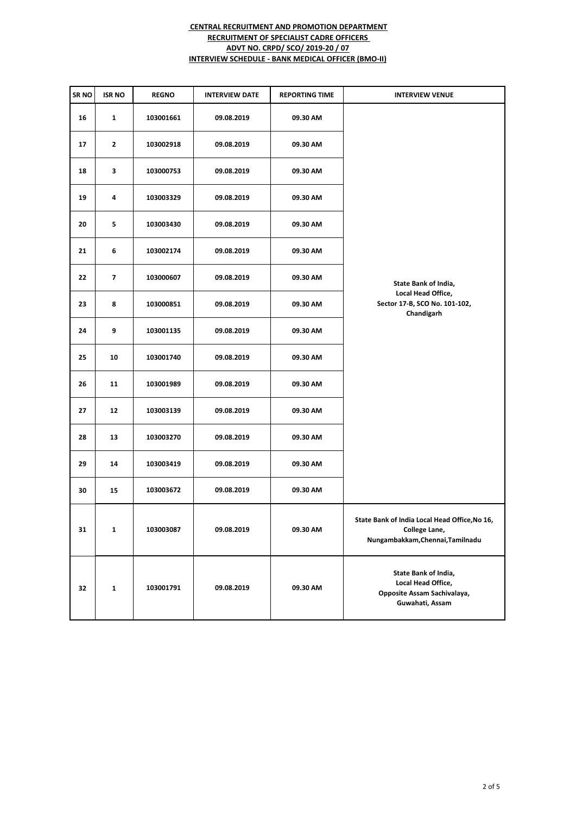| SR <sub>NO</sub> | <b>ISR NO</b> | <b>REGNO</b> | <b>INTERVIEW DATE</b> | <b>REPORTING TIME</b> | <b>INTERVIEW VENUE</b>                                                                             |
|------------------|---------------|--------------|-----------------------|-----------------------|----------------------------------------------------------------------------------------------------|
| 16               | $\mathbf{1}$  | 103001661    | 09.08.2019            | 09.30 AM              |                                                                                                    |
| 17               | $\mathbf{z}$  | 103002918    | 09.08.2019            | 09.30 AM              |                                                                                                    |
| 18               | 3             | 103000753    | 09.08.2019            | 09.30 AM              |                                                                                                    |
| 19               | 4             | 103003329    | 09.08.2019            | 09.30 AM              |                                                                                                    |
| 20               | 5             | 103003430    | 09.08.2019            | 09.30 AM              |                                                                                                    |
| 21               | 6             | 103002174    | 09.08.2019            | 09.30 AM              |                                                                                                    |
| 22               | 7             | 103000607    | 09.08.2019            | 09.30 AM              | State Bank of India,                                                                               |
| 23               | 8             | 103000851    | 09.08.2019            | 09.30 AM              | Local Head Office,<br>Sector 17-B, SCO No. 101-102,<br>Chandigarh                                  |
| 24               | 9             | 103001135    | 09.08.2019            | 09.30 AM              |                                                                                                    |
| 25               | 10            | 103001740    | 09.08.2019            | 09.30 AM              |                                                                                                    |
| 26               | 11            | 103001989    | 09.08.2019            | 09.30 AM              |                                                                                                    |
| 27               | 12            | 103003139    | 09.08.2019            | 09.30 AM              |                                                                                                    |
| 28               | 13            | 103003270    | 09.08.2019            | 09.30 AM              |                                                                                                    |
| 29               | 14            | 103003419    | 09.08.2019            | 09.30 AM              |                                                                                                    |
| 30               | 15            | 103003672    | 09.08.2019            | 09.30 AM              |                                                                                                    |
| 31               | 1             | 103003087    | 09.08.2019            | 09.30 AM              | State Bank of India Local Head Office, No 16,<br>College Lane,<br>Nungambakkam, Chennai, Tamilnadu |
| 32               | 1             | 103001791    | 09.08.2019            | 09.30 AM              | State Bank of India,<br>Local Head Office,<br>Opposite Assam Sachivalaya,<br>Guwahati, Assam       |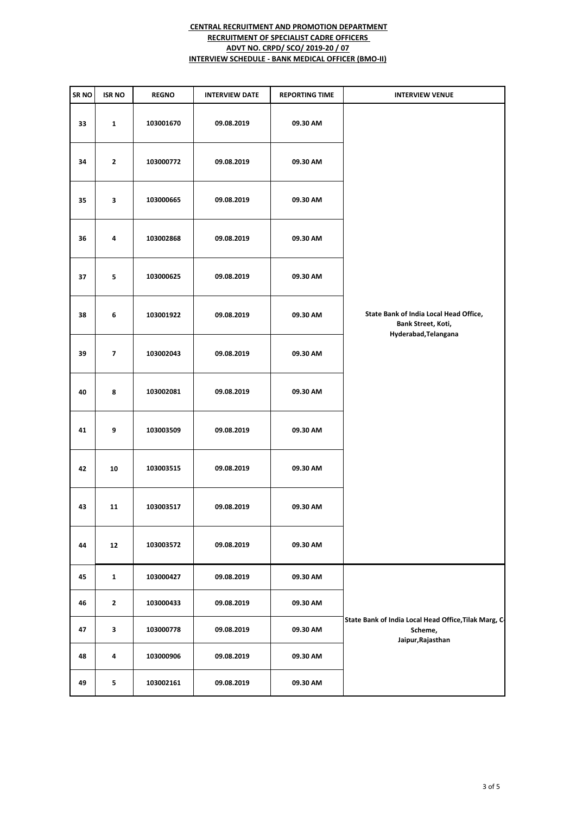| SR NO | <b>ISR NO</b> | <b>REGNO</b> | <b>INTERVIEW DATE</b> | <b>REPORTING TIME</b> | <b>INTERVIEW VENUE</b>                                                                |
|-------|---------------|--------------|-----------------------|-----------------------|---------------------------------------------------------------------------------------|
| 33    | $\mathbf{1}$  | 103001670    | 09.08.2019            | 09.30 AM              |                                                                                       |
| 34    | $\mathbf{2}$  | 103000772    | 09.08.2019            | 09.30 AM              |                                                                                       |
| 35    | 3             | 103000665    | 09.08.2019            | 09.30 AM              |                                                                                       |
| 36    | 4             | 103002868    | 09.08.2019            | 09.30 AM              |                                                                                       |
| 37    | 5             | 103000625    | 09.08.2019            | 09.30 AM              |                                                                                       |
| 38    | $\bf 6$       | 103001922    | 09.08.2019            | 09.30 AM              | State Bank of India Local Head Office,<br>Bank Street, Koti,                          |
| 39    | 7             | 103002043    | 09.08.2019            | 09.30 AM              | Hyderabad, Telangana                                                                  |
| 40    | 8             | 103002081    | 09.08.2019            | 09.30 AM              |                                                                                       |
| 41    | 9             | 103003509    | 09.08.2019            | 09.30 AM              |                                                                                       |
| 42    | 10            | 103003515    | 09.08.2019            | 09.30 AM              |                                                                                       |
| 43    | 11            | 103003517    | 09.08.2019            | 09.30 AM              |                                                                                       |
| 44    | 12            | 103003572    | 09.08.2019            | 09.30 AM              |                                                                                       |
| 45    | 1             | 103000427    | 09.08.2019            | 09.30 AM              |                                                                                       |
| 46    | $\mathbf{2}$  | 103000433    | 09.08.2019            | 09.30 AM              | State Bank of India Local Head Office, Tilak Marg, C-<br>Scheme,<br>Jaipur, Rajasthan |
| 47    | 3             | 103000778    | 09.08.2019            | 09.30 AM              |                                                                                       |
| 48    | 4             | 103000906    | 09.08.2019            | 09.30 AM              |                                                                                       |
| 49    | 5             | 103002161    | 09.08.2019            | 09.30 AM              |                                                                                       |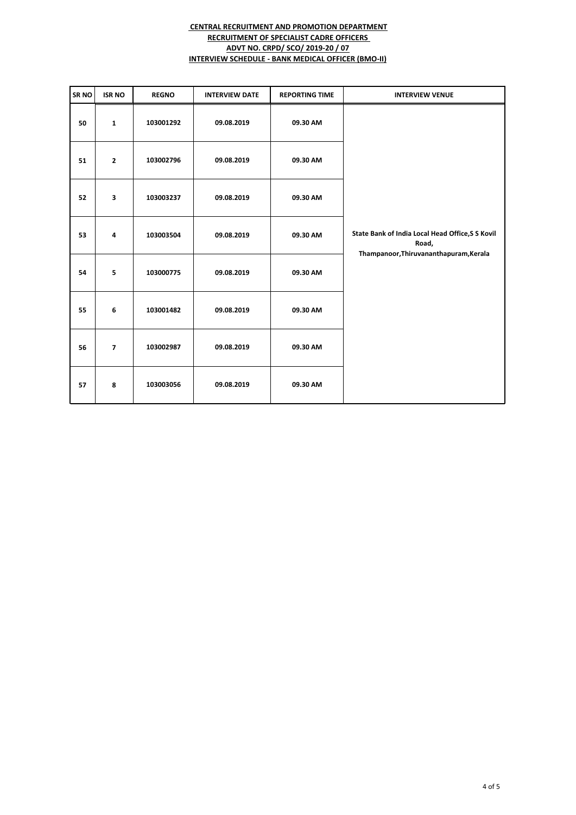| SR <sub>NO</sub> | <b>ISR NO</b>           | <b>REGNO</b> | <b>INTERVIEW DATE</b> | <b>REPORTING TIME</b> | <b>INTERVIEW VENUE</b>                                                                              |
|------------------|-------------------------|--------------|-----------------------|-----------------------|-----------------------------------------------------------------------------------------------------|
| 50               | $\mathbf{1}$            | 103001292    | 09.08.2019            | 09.30 AM              |                                                                                                     |
| 51               | $\overline{2}$          | 103002796    | 09.08.2019            | 09.30 AM              |                                                                                                     |
| 52               | $\overline{\mathbf{3}}$ | 103003237    | 09.08.2019            | 09.30 AM              |                                                                                                     |
| 53               | $\overline{4}$          | 103003504    | 09.08.2019            | 09.30 AM              | State Bank of India Local Head Office, S S Kovil<br>Road,<br>Thampanoor, Thiruvananthapuram, Kerala |
| 54               | 5                       | 103000775    | 09.08.2019            | 09.30 AM              |                                                                                                     |
| 55               | 6                       | 103001482    | 09.08.2019            | 09.30 AM              |                                                                                                     |
| 56               | $\overline{7}$          | 103002987    | 09.08.2019            | 09.30 AM              |                                                                                                     |
| 57               | 8                       | 103003056    | 09.08.2019            | 09.30 AM              |                                                                                                     |